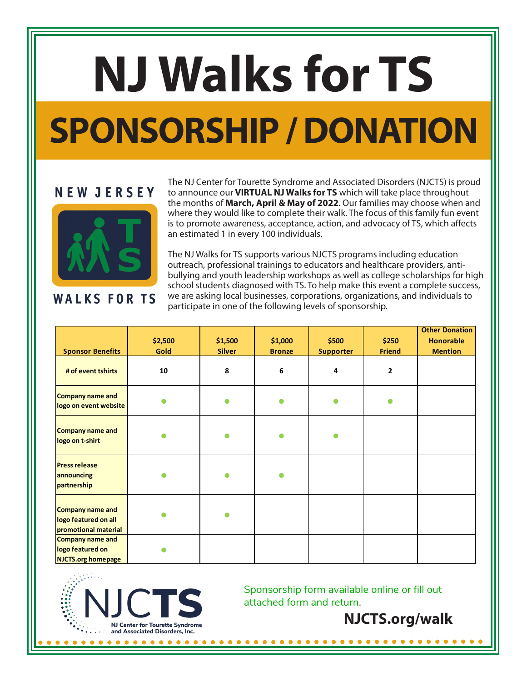## **NJ Walks for TS SPONSORSHIP / DONATION**

## **NEW JERSEY**



## **WALKS FOR TS**

The NJ Center for Tourette Syndrome and Associated Disorders (NJCTS) is proud to announce our **VIRTUAL NJ Walks for TS** which will take place throughout the months of **March, April & May of 2022**. Our families may choose when and where they would like to complete their walk. The focus of this family fun event is to promote awareness, acceptance, action, and advocacy of TS, which affects an estimated 1 in every 100 individuals.

The NJ Walks for TS supports various NJCTS programs including education outreach, professional trainings to educators and healthcare providers, antibullying and youth leadership workshops as well as college scholarships for high school students diagnosed with TS. To help make this event a complete success, we are asking local businesses, corporations, organizations, and individuals to participate in one of the following levels of sponsorship.

|                                                                   |         |               |               |                  |               | <b>Other Donation</b> |
|-------------------------------------------------------------------|---------|---------------|---------------|------------------|---------------|-----------------------|
|                                                                   | \$2,500 | \$1,500       | \$1,000       | \$500            | \$250         | <b>Honorable</b>      |
| <b>Sponsor Benefits</b>                                           | Gold    | <b>Silver</b> | <b>Bronze</b> | <b>Supporter</b> | <b>Friend</b> | <b>Mention</b>        |
| # of event tshirts                                                | 10      | 8             | 6             | 4                | $\mathbf{2}$  |                       |
| Company name and<br>logo on event website                         |         | Ο             |               |                  |               |                       |
| Company name and<br>logo on t-shirt                               |         |               |               |                  |               |                       |
| <b>Press release</b><br>announcing<br>partnership                 |         |               |               |                  |               |                       |
| Company name and<br>logo featured on all<br>promotional material  |         | ●             |               |                  |               |                       |
| Company name and<br>logo featured on<br><b>NJCTS.org homepage</b> |         |               |               |                  |               |                       |



Sponsorship form available online or fill out attached form and return.

**NJCTS.org/walk**